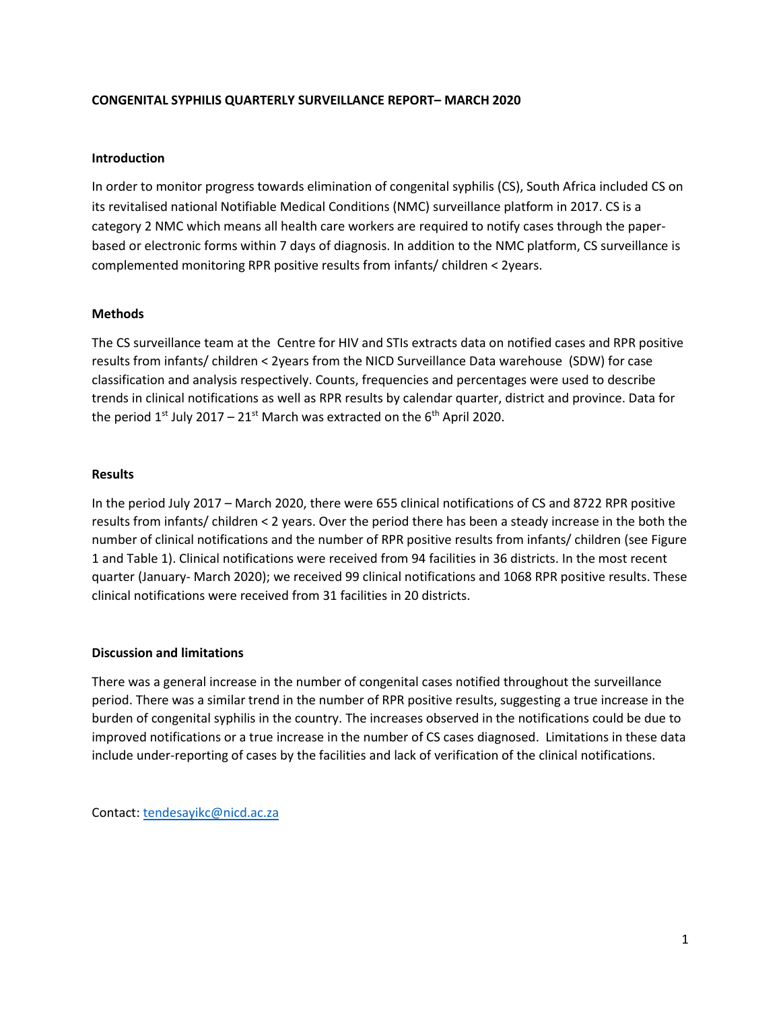## **CONGENITAL SYPHILIS QUARTERLY SURVEILLANCE REPORT– MARCH 2020**

### **Introduction**

In order to monitor progress towards elimination of congenital syphilis (CS), South Africa included CS on its revitalised national Notifiable Medical Conditions (NMC) surveillance platform in 2017. CS is a category 2 NMC which means all health care workers are required to notify cases through the paperbased or electronic forms within 7 days of diagnosis. In addition to the NMC platform, CS surveillance is complemented monitoring RPR positive results from infants/ children < 2years.

#### **Methods**

The CS surveillance team at the Centre for HIV and STIs extracts data on notified cases and RPR positive results from infants/ children < 2years from the NICD Surveillance Data warehouse (SDW) for case classification and analysis respectively. Counts, frequencies and percentages were used to describe trends in clinical notifications as well as RPR results by calendar quarter, district and province. Data for the period  $1^{st}$  July 2017 – 21 $^{st}$  March was extracted on the 6<sup>th</sup> April 2020.

## **Results**

In the period July 2017 – March 2020, there were 655 clinical notifications of CS and 8722 RPR positive results from infants/ children < 2 years. Over the period there has been a steady increase in the both the number of clinical notifications and the number of RPR positive results from infants/ children (see Figure 1 and Table 1). Clinical notifications were received from 94 facilities in 36 districts. In the most recent quarter (January- March 2020); we received 99 clinical notifications and 1068 RPR positive results. These clinical notifications were received from 31 facilities in 20 districts.

## **Discussion and limitations**

There was a general increase in the number of congenital cases notified throughout the surveillance period. There was a similar trend in the number of RPR positive results, suggesting a true increase in the burden of congenital syphilis in the country. The increases observed in the notifications could be due to improved notifications or a true increase in the number of CS cases diagnosed. Limitations in these data include under-reporting of cases by the facilities and lack of verification of the clinical notifications.

Contact: [tendesayikc@nicd.ac.za](mailto:tendesayikc@nicd.ac.za)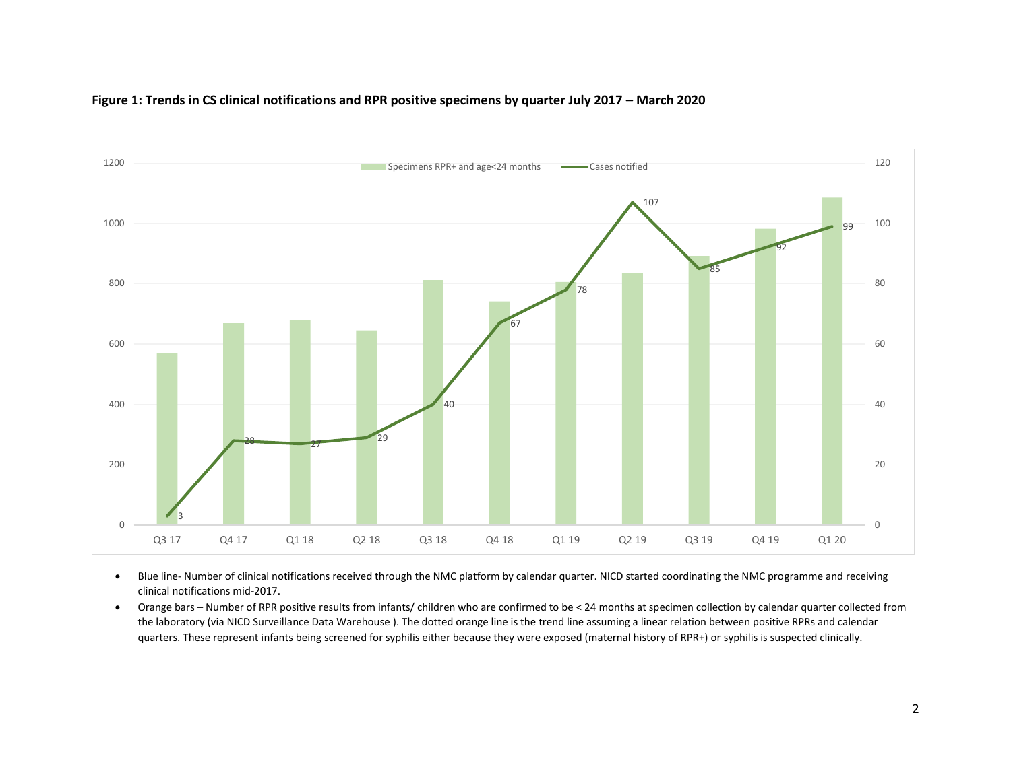

#### **Figure 1: Trends in CS clinical notifications and RPR positive specimens by quarter July 2017 – March 2020**

- Blue line- Number of clinical notifications received through the NMC platform by calendar quarter. NICD started coordinating the NMC programme and receiving clinical notifications mid-2017.
- Orange bars Number of RPR positive results from infants/ children who are confirmed to be < 24 months at specimen collection by calendar quarter collected from the laboratory (via NICD Surveillance Data Warehouse ). The dotted orange line is the trend line assuming a linear relation between positive RPRs and calendar quarters. These represent infants being screened for syphilis either because they were exposed (maternal history of RPR+) or syphilis is suspected clinically.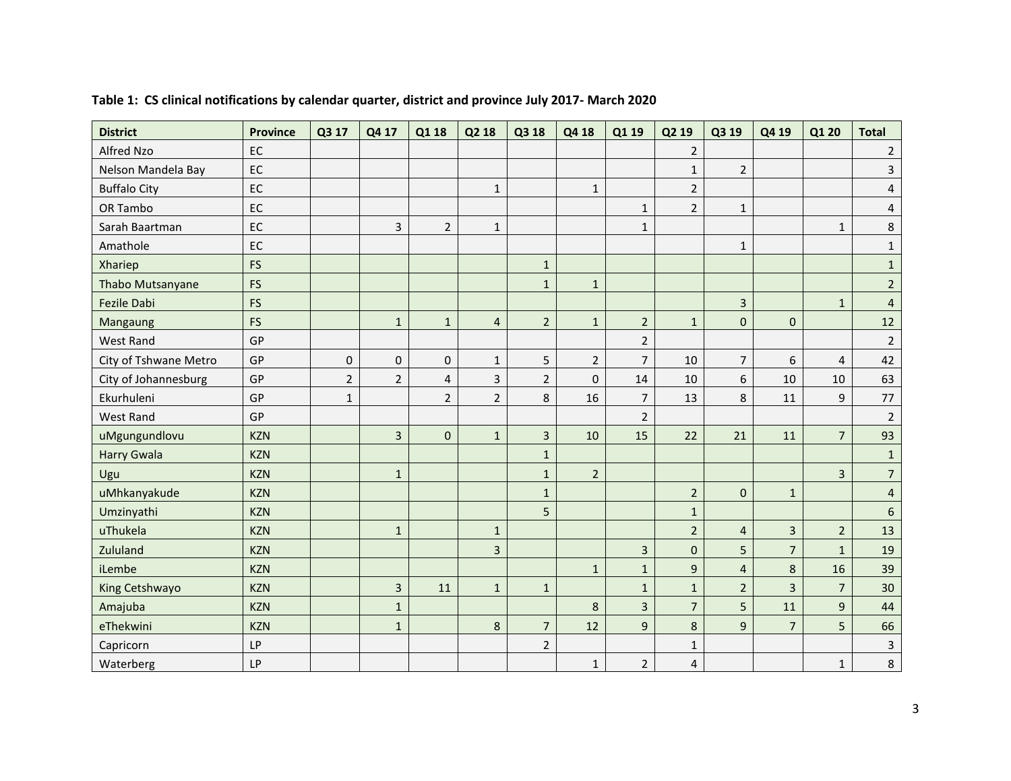| <b>District</b>       | <b>Province</b> | Q3 17               | Q4 17                   | Q1 18          | Q2 18                   | Q3 18          | Q4 18          | Q1 19                   | Q2 19          | Q3 19          | Q4 19          | Q1 20          | <b>Total</b>   |
|-----------------------|-----------------|---------------------|-------------------------|----------------|-------------------------|----------------|----------------|-------------------------|----------------|----------------|----------------|----------------|----------------|
| Alfred Nzo            | EC              |                     |                         |                |                         |                |                |                         | $\overline{2}$ |                |                |                | $\overline{2}$ |
| Nelson Mandela Bay    | EC              |                     |                         |                |                         |                |                |                         | $\mathbf{1}$   | $\overline{2}$ |                |                | $\overline{3}$ |
| <b>Buffalo City</b>   | EC              |                     |                         |                | $\mathbf 1$             |                | $1\,$          |                         | $\overline{2}$ |                |                |                | $\overline{4}$ |
| OR Tambo              | EC              |                     |                         |                |                         |                |                | $\mathbf{1}$            | $\overline{2}$ | $\mathbf{1}$   |                |                | $\overline{4}$ |
| Sarah Baartman        | EC              |                     | 3                       | $\overline{2}$ | $\mathbf{1}$            |                |                | $\mathbf{1}$            |                |                |                | $\mathbf{1}$   | 8              |
| Amathole              | EC              |                     |                         |                |                         |                |                |                         |                | $\mathbf{1}$   |                |                | $\mathbf{1}$   |
| Xhariep               | <b>FS</b>       |                     |                         |                |                         | $\mathbf{1}$   |                |                         |                |                |                |                | $\mathbf{1}$   |
| Thabo Mutsanyane      | <b>FS</b>       |                     |                         |                |                         | $\mathbf{1}$   | $1\,$          |                         |                |                |                |                | $2^{\circ}$    |
| <b>Fezile Dabi</b>    | <b>FS</b>       |                     |                         |                |                         |                |                |                         |                | $\overline{3}$ |                | $\mathbf{1}$   | $\overline{4}$ |
| Mangaung              | <b>FS</b>       |                     | $\mathbf{1}$            | $\mathbf{1}$   | $\overline{4}$          | $\overline{2}$ | $\mathbf 1$    | $\overline{2}$          | $\mathbf{1}$   | $\mathbf 0$    | $\mathbf 0$    |                | 12             |
| <b>West Rand</b>      | GP              |                     |                         |                |                         |                |                | $\overline{2}$          |                |                |                |                | $\overline{2}$ |
| City of Tshwane Metro | GP              | $\mathsf{O}\xspace$ | $\mathbf 0$             | 0              | $\mathbf{1}$            | 5              | $\overline{2}$ | $\overline{7}$          | 10             | $\overline{7}$ | 6              | $\overline{4}$ | 42             |
| City of Johannesburg  | GP              | $\overline{2}$      | $\overline{2}$          | $\overline{4}$ | $\overline{3}$          | $\overline{2}$ | $\mathbf 0$    | 14                      | 10             | 6              | 10             | 10             | 63             |
| Ekurhuleni            | GP              | $\mathbf 1$         |                         | $\overline{2}$ | $\overline{2}$          | 8              | 16             | $\overline{7}$          | 13             | 8              | 11             | 9              | 77             |
| <b>West Rand</b>      | GP              |                     |                         |                |                         |                |                | $\overline{2}$          |                |                |                |                | $\overline{2}$ |
| uMgungundlovu         | <b>KZN</b>      |                     | $\overline{\mathbf{3}}$ | $\mathbf 0$    | $\mathbf 1$             | $\overline{3}$ | 10             | 15                      | 22             | 21             | 11             | $\overline{7}$ | 93             |
| <b>Harry Gwala</b>    | <b>KZN</b>      |                     |                         |                |                         | $\mathbf 1$    |                |                         |                |                |                |                | $\mathbf{1}$   |
| Ugu                   | <b>KZN</b>      |                     | $\mathbf{1}$            |                |                         | $1\,$          | $\overline{2}$ |                         |                |                |                | $\overline{3}$ | $\overline{7}$ |
| uMhkanyakude          | <b>KZN</b>      |                     |                         |                |                         | $\mathbf 1$    |                |                         | $\overline{2}$ | $\pmb{0}$      | $\mathbf{1}$   |                | $\overline{4}$ |
| Umzinyathi            | <b>KZN</b>      |                     |                         |                |                         | 5              |                |                         | $\mathbf 1$    |                |                |                | $6\phantom{a}$ |
| uThukela              | <b>KZN</b>      |                     | $\mathbf{1}$            |                | $\mathbf{1}$            |                |                |                         | $\overline{2}$ | $\overline{4}$ | $\overline{3}$ | $\overline{2}$ | 13             |
| Zululand              | <b>KZN</b>      |                     |                         |                | $\overline{\mathbf{3}}$ |                |                | $\overline{\mathbf{3}}$ | $\pmb{0}$      | 5              | $\overline{7}$ | $\mathbf{1}$   | 19             |
| iLembe                | <b>KZN</b>      |                     |                         |                |                         |                | $\mathbf{1}$   | $\mathbf{1}$            | 9              | $\overline{4}$ | 8              | 16             | 39             |
| King Cetshwayo        | <b>KZN</b>      |                     | 3                       | 11             | $1\,$                   | $\mathbf 1$    |                | $\mathbf{1}$            | $\mathbf{1}$   | $\overline{2}$ | $\overline{3}$ | $\overline{7}$ | 30             |
| Amajuba               | <b>KZN</b>      |                     | $\mathbf{1}$            |                |                         |                | 8              | $\overline{3}$          | $\overline{7}$ | 5              | 11             | 9              | 44             |
| eThekwini             | <b>KZN</b>      |                     | $\mathbf{1}$            |                | $\,8\,$                 | $\overline{7}$ | 12             | 9                       | 8              | $\mathsf g$    | $\overline{7}$ | 5              | 66             |
| Capricorn             | <b>LP</b>       |                     |                         |                |                         | $\overline{2}$ |                |                         | $\mathbf{1}$   |                |                |                | $\mathbf{3}$   |
| Waterberg             | <b>LP</b>       |                     |                         |                |                         |                | $\mathbf{1}$   | $\overline{2}$          | $\overline{4}$ |                |                | $\mathbf{1}$   | 8              |

# **Table 1: CS clinical notifications by calendar quarter, district and province July 2017- March 2020**